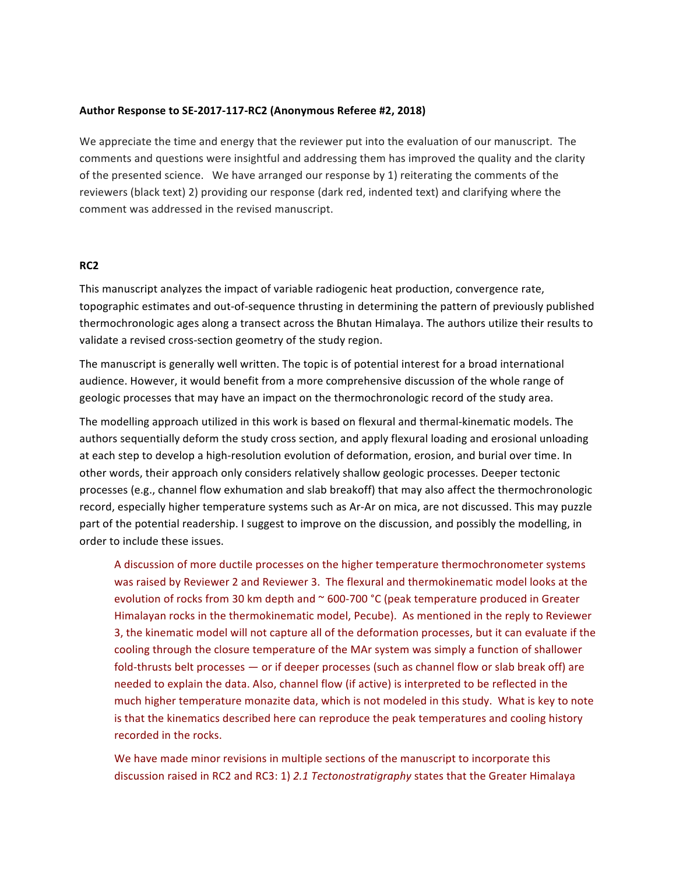## Author Response to SE-2017-117-RC2 (Anonymous Referee #2, 2018)

We appreciate the time and energy that the reviewer put into the evaluation of our manuscript. The comments and questions were insightful and addressing them has improved the quality and the clarity of the presented science. We have arranged our response by 1) reiterating the comments of the reviewers (black text) 2) providing our response (dark red, indented text) and clarifying where the comment was addressed in the revised manuscript.

## **RC2**

This manuscript analyzes the impact of variable radiogenic heat production, convergence rate, topographic estimates and out-of-sequence thrusting in determining the pattern of previously published thermochronologic ages along a transect across the Bhutan Himalaya. The authors utilize their results to validate a revised cross-section geometry of the study region.

The manuscript is generally well written. The topic is of potential interest for a broad international audience. However, it would benefit from a more comprehensive discussion of the whole range of geologic processes that may have an impact on the thermochronologic record of the study area.

The modelling approach utilized in this work is based on flexural and thermal-kinematic models. The authors sequentially deform the study cross section, and apply flexural loading and erosional unloading at each step to develop a high-resolution evolution of deformation, erosion, and burial over time. In other words, their approach only considers relatively shallow geologic processes. Deeper tectonic processes (e.g., channel flow exhumation and slab breakoff) that may also affect the thermochronologic record, especially higher temperature systems such as Ar-Ar on mica, are not discussed. This may puzzle part of the potential readership. I suggest to improve on the discussion, and possibly the modelling, in order to include these issues.

A discussion of more ductile processes on the higher temperature thermochronometer systems was raised by Reviewer 2 and Reviewer 3. The flexural and thermokinematic model looks at the evolution of rocks from 30 km depth and  $\sim$  600-700 °C (peak temperature produced in Greater Himalayan rocks in the thermokinematic model, Pecube). As mentioned in the reply to Reviewer 3, the kinematic model will not capture all of the deformation processes, but it can evaluate if the cooling through the closure temperature of the MAr system was simply a function of shallower fold-thrusts belt processes — or if deeper processes (such as channel flow or slab break off) are needed to explain the data. Also, channel flow (if active) is interpreted to be reflected in the much higher temperature monazite data, which is not modeled in this study. What is key to note is that the kinematics described here can reproduce the peak temperatures and cooling history recorded in the rocks.

We have made minor revisions in multiple sections of the manuscript to incorporate this discussion raised in RC2 and RC3: 1) 2.1 Tectonostratigraphy states that the Greater Himalaya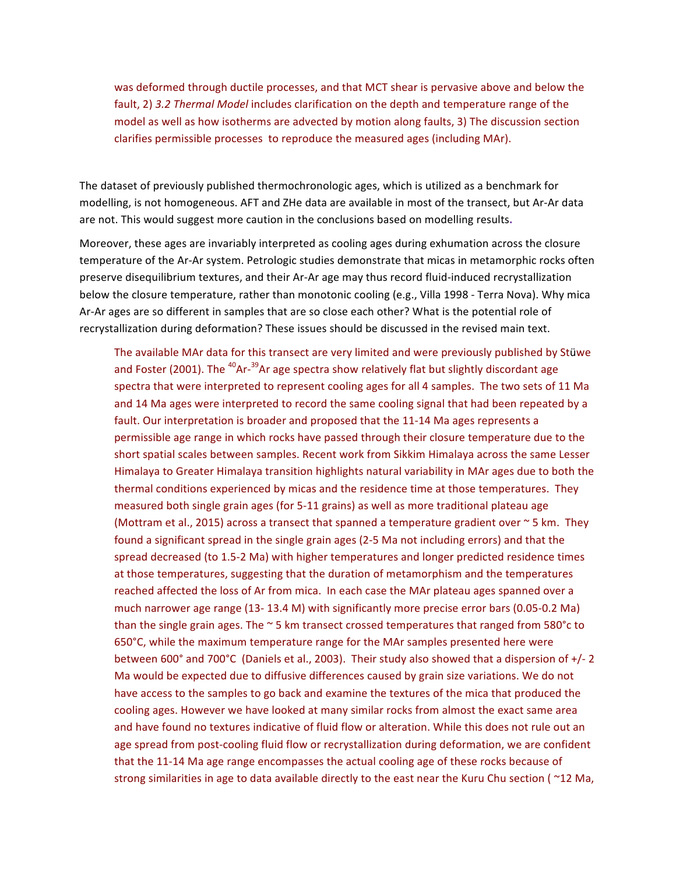was deformed through ductile processes, and that MCT shear is pervasive above and below the fault, 2) 3.2 Thermal Model includes clarification on the depth and temperature range of the model as well as how isotherms are advected by motion along faults, 3) The discussion section clarifies permissible processes to reproduce the measured ages (including MAr).

The dataset of previously published thermochronologic ages, which is utilized as a benchmark for modelling, is not homogeneous. AFT and ZHe data are available in most of the transect, but Ar-Ar data are not. This would suggest more caution in the conclusions based on modelling results.

Moreover, these ages are invariably interpreted as cooling ages during exhumation across the closure temperature of the Ar-Ar system. Petrologic studies demonstrate that micas in metamorphic rocks often preserve disequilibrium textures, and their Ar-Ar age may thus record fluid-induced recrystallization below the closure temperature, rather than monotonic cooling (e.g., Villa 1998 - Terra Nova). Why mica Ar-Ar ages are so different in samples that are so close each other? What is the potential role of recrystallization during deformation? These issues should be discussed in the revised main text.

The available MAr data for this transect are very limited and were previously published by Stüwe and Foster (2001). The <sup>40</sup>Ar-<sup>39</sup>Ar age spectra show relatively flat but slightly discordant age spectra that were interpreted to represent cooling ages for all 4 samples. The two sets of 11 Ma and 14 Ma ages were interpreted to record the same cooling signal that had been repeated by a fault. Our interpretation is broader and proposed that the 11-14 Ma ages represents a permissible age range in which rocks have passed through their closure temperature due to the short spatial scales between samples. Recent work from Sikkim Himalaya across the same Lesser Himalaya to Greater Himalaya transition highlights natural variability in MAr ages due to both the thermal conditions experienced by micas and the residence time at those temperatures. They measured both single grain ages (for 5-11 grains) as well as more traditional plateau age (Mottram et al., 2015) across a transect that spanned a temperature gradient over  $\sim$  5 km. They found a significant spread in the single grain ages (2-5 Ma not including errors) and that the spread decreased (to 1.5-2 Ma) with higher temperatures and longer predicted residence times at those temperatures, suggesting that the duration of metamorphism and the temperatures reached affected the loss of Ar from mica. In each case the MAr plateau ages spanned over a much narrower age range  $(13-13.4 M)$  with significantly more precise error bars  $(0.05-0.2 Ma)$ than the single grain ages. The  $\sim$  5 km transect crossed temperatures that ranged from 580°c to 650°C, while the maximum temperature range for the MAr samples presented here were between 600° and 700°C (Daniels et al., 2003). Their study also showed that a dispersion of +/-2 Ma would be expected due to diffusive differences caused by grain size variations. We do not have access to the samples to go back and examine the textures of the mica that produced the cooling ages. However we have looked at many similar rocks from almost the exact same area and have found no textures indicative of fluid flow or alteration. While this does not rule out an age spread from post-cooling fluid flow or recrystallization during deformation, we are confident that the 11-14 Ma age range encompasses the actual cooling age of these rocks because of strong similarities in age to data available directly to the east near the Kuru Chu section ( $\approx$ 12 Ma,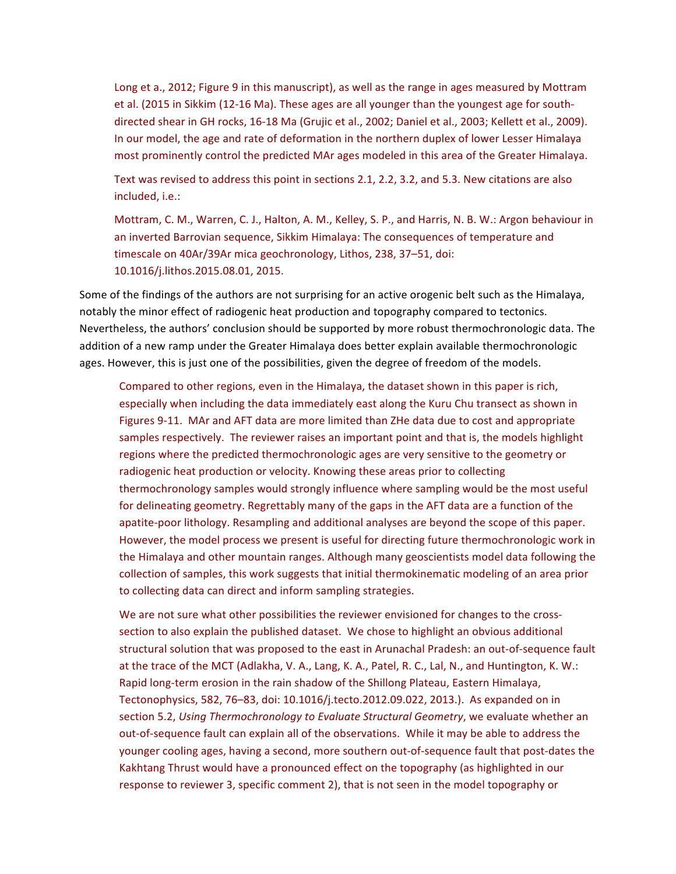Long et a., 2012; Figure 9 in this manuscript), as well as the range in ages measured by Mottram et al. (2015 in Sikkim (12-16 Ma). These ages are all younger than the youngest age for southdirected shear in GH rocks, 16-18 Ma (Grujic et al., 2002; Daniel et al., 2003; Kellett et al., 2009). In our model, the age and rate of deformation in the northern duplex of lower Lesser Himalaya most prominently control the predicted MAr ages modeled in this area of the Greater Himalaya.

Text was revised to address this point in sections 2.1, 2.2, 3.2, and 5.3. New citations are also included, i.e.:

Mottram, C. M., Warren, C. J., Halton, A. M., Kelley, S. P., and Harris, N. B. W.: Argon behaviour in an inverted Barrovian sequence, Sikkim Himalaya: The consequences of temperature and timescale on 40Ar/39Ar mica geochronology, Lithos, 238, 37-51, doi: 10.1016/j.lithos.2015.08.01, 2015.

Some of the findings of the authors are not surprising for an active orogenic belt such as the Himalaya, notably the minor effect of radiogenic heat production and topography compared to tectonics. Nevertheless, the authors' conclusion should be supported by more robust thermochronologic data. The addition of a new ramp under the Greater Himalaya does better explain available thermochronologic ages. However, this is just one of the possibilities, given the degree of freedom of the models.

Compared to other regions, even in the Himalaya, the dataset shown in this paper is rich, especially when including the data immediately east along the Kuru Chu transect as shown in Figures 9-11. MAr and AFT data are more limited than ZHe data due to cost and appropriate samples respectively. The reviewer raises an important point and that is, the models highlight regions where the predicted thermochronologic ages are very sensitive to the geometry or radiogenic heat production or velocity. Knowing these areas prior to collecting thermochronology samples would strongly influence where sampling would be the most useful for delineating geometry. Regrettably many of the gaps in the AFT data are a function of the apatite-poor lithology. Resampling and additional analyses are beyond the scope of this paper. However, the model process we present is useful for directing future thermochronologic work in the Himalaya and other mountain ranges. Although many geoscientists model data following the collection of samples, this work suggests that initial thermokinematic modeling of an area prior to collecting data can direct and inform sampling strategies.

We are not sure what other possibilities the reviewer envisioned for changes to the crosssection to also explain the published dataset. We chose to highlight an obvious additional structural solution that was proposed to the east in Arunachal Pradesh: an out-of-sequence fault at the trace of the MCT (Adlakha, V. A., Lang, K. A., Patel, R. C., Lal, N., and Huntington, K. W.: Rapid long-term erosion in the rain shadow of the Shillong Plateau, Eastern Himalaya, Tectonophysics, 582, 76-83, doi: 10.1016/j.tecto.2012.09.022, 2013.). As expanded on in section 5.2, *Using Thermochronology to Evaluate Structural Geometry*, we evaluate whether an out-of-sequence fault can explain all of the observations. While it may be able to address the younger cooling ages, having a second, more southern out-of-sequence fault that post-dates the Kakhtang Thrust would have a pronounced effect on the topography (as highlighted in our response to reviewer 3, specific comment 2), that is not seen in the model topography or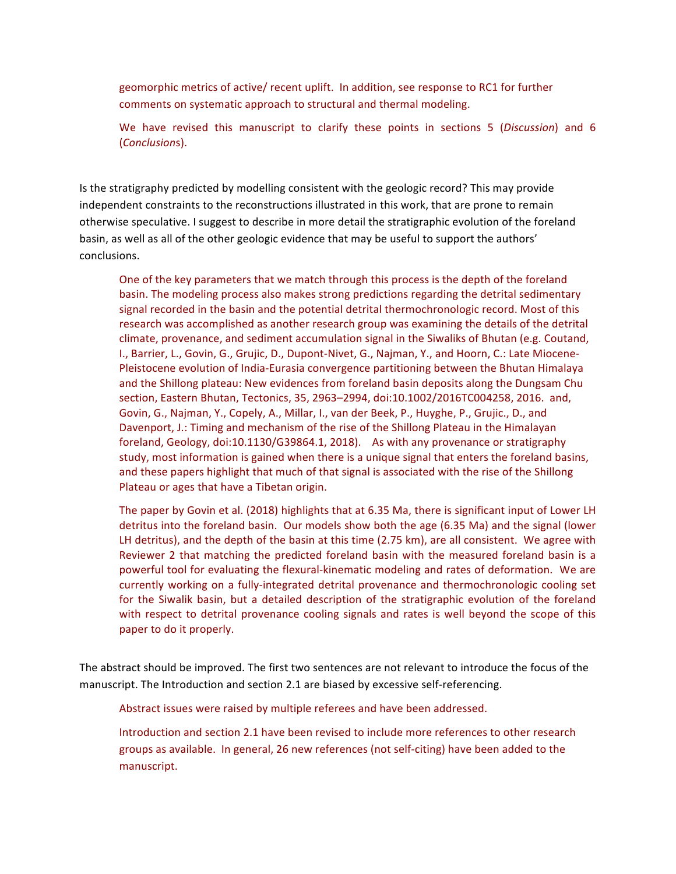geomorphic metrics of active/ recent uplift. In addition, see response to RC1 for further comments on systematic approach to structural and thermal modeling.

We have revised this manuscript to clarify these points in sections 5 (Discussion) and 6 (*Conclusion*s).

Is the stratigraphy predicted by modelling consistent with the geologic record? This may provide independent constraints to the reconstructions illustrated in this work, that are prone to remain otherwise speculative. I suggest to describe in more detail the stratigraphic evolution of the foreland basin, as well as all of the other geologic evidence that may be useful to support the authors' conclusions.

One of the key parameters that we match through this process is the depth of the foreland basin. The modeling process also makes strong predictions regarding the detrital sedimentary signal recorded in the basin and the potential detrital thermochronologic record. Most of this research was accomplished as another research group was examining the details of the detrital climate, provenance, and sediment accumulation signal in the Siwaliks of Bhutan (e.g. Coutand, I., Barrier, L., Govin, G., Grujic, D., Dupont-Nivet, G., Najman, Y., and Hoorn, C.: Late Miocene-Pleistocene evolution of India-Eurasia convergence partitioning between the Bhutan Himalaya and the Shillong plateau: New evidences from foreland basin deposits along the Dungsam Chu section, Eastern Bhutan, Tectonics, 35, 2963-2994, doi:10.1002/2016TC004258, 2016. and, Govin, G., Najman, Y., Copely, A., Millar, I., van der Beek, P., Huyghe, P., Grujic., D., and Davenport, J.: Timing and mechanism of the rise of the Shillong Plateau in the Himalayan foreland, Geology, doi:10.1130/G39864.1, 2018). As with any provenance or stratigraphy study, most information is gained when there is a unique signal that enters the foreland basins, and these papers highlight that much of that signal is associated with the rise of the Shillong Plateau or ages that have a Tibetan origin.

The paper by Govin et al. (2018) highlights that at 6.35 Ma, there is significant input of Lower LH detritus into the foreland basin. Our models show both the age (6.35 Ma) and the signal (lower LH detritus), and the depth of the basin at this time (2.75 km), are all consistent. We agree with Reviewer 2 that matching the predicted foreland basin with the measured foreland basin is a powerful tool for evaluating the flexural-kinematic modeling and rates of deformation. We are currently working on a fully-integrated detrital provenance and thermochronologic cooling set for the Siwalik basin, but a detailed description of the stratigraphic evolution of the foreland with respect to detrital provenance cooling signals and rates is well beyond the scope of this paper to do it properly.

The abstract should be improved. The first two sentences are not relevant to introduce the focus of the manuscript. The Introduction and section 2.1 are biased by excessive self-referencing.

Abstract issues were raised by multiple referees and have been addressed.

Introduction and section 2.1 have been revised to include more references to other research groups as available. In general, 26 new references (not self-citing) have been added to the manuscript.